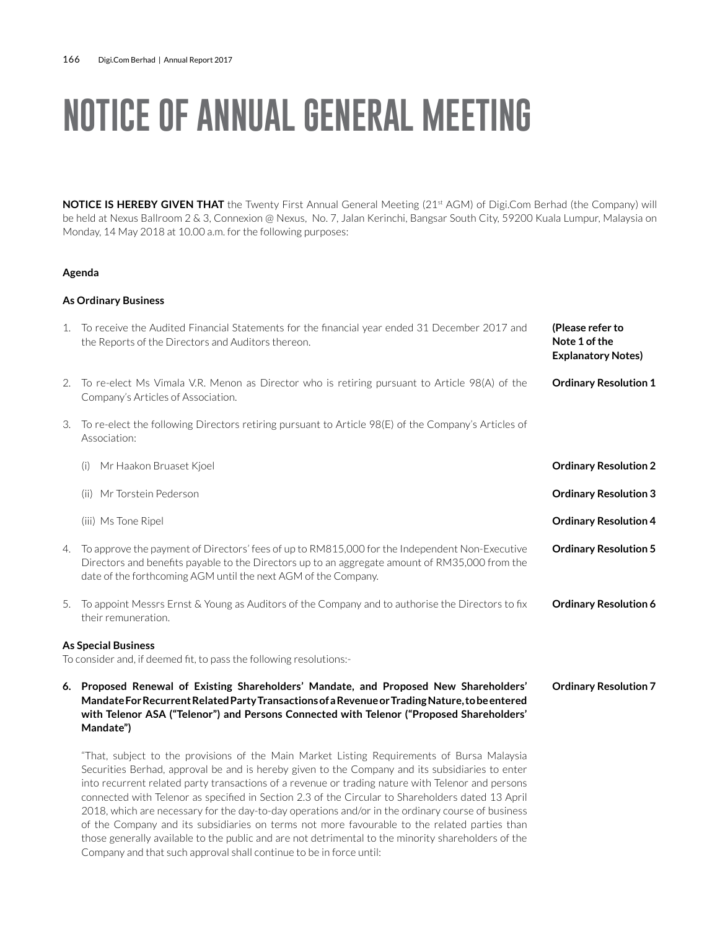# **NOTICE OF ANNUAL GENERAL MEETING**

**NOTICE IS HEREBY GIVEN THAT** the Twenty First Annual General Meeting (21<sup>st</sup> AGM) of Digi.Com Berhad (the Company) will be held at Nexus Ballroom 2 & 3, Connexion @ Nexus, No. 7, Jalan Kerinchi, Bangsar South City, 59200 Kuala Lumpur, Malaysia on Monday, 14 May 2018 at 10.00 a.m. for the following purposes:

#### **Agenda**

### **As Ordinary Business**

**Mandate")**

| 1. | To receive the Audited Financial Statements for the financial year ended 31 December 2017 and<br>the Reports of the Directors and Auditors thereon.                                                                                                                | (Please refer to<br>Note 1 of the<br><b>Explanatory Notes)</b> |
|----|--------------------------------------------------------------------------------------------------------------------------------------------------------------------------------------------------------------------------------------------------------------------|----------------------------------------------------------------|
| 2. | To re-elect Ms Vimala V.R. Menon as Director who is retiring pursuant to Article 98(A) of the<br>Company's Articles of Association.                                                                                                                                | <b>Ordinary Resolution 1</b>                                   |
| 3. | To re-elect the following Directors retiring pursuant to Article 98(E) of the Company's Articles of<br>Association:                                                                                                                                                |                                                                |
|    | Mr Haakon Bruaset Kjoel<br>(i)                                                                                                                                                                                                                                     | <b>Ordinary Resolution 2</b>                                   |
|    | Mr Torstein Pederson<br>(ii)                                                                                                                                                                                                                                       | <b>Ordinary Resolution 3</b>                                   |
|    | (iii) Ms Tone Ripel                                                                                                                                                                                                                                                | <b>Ordinary Resolution 4</b>                                   |
| 4. | To approve the payment of Directors' fees of up to RM815,000 for the Independent Non-Executive<br>Directors and benefits payable to the Directors up to an aggregate amount of RM35,000 from the<br>date of the forthcoming AGM until the next AGM of the Company. | <b>Ordinary Resolution 5</b>                                   |
| 5. | To appoint Messrs Ernst & Young as Auditors of the Company and to authorise the Directors to fix<br>their remuneration.                                                                                                                                            | <b>Ordinary Resolution 6</b>                                   |
|    | <b>As Special Business</b>                                                                                                                                                                                                                                         |                                                                |
|    | To consider and, if deemed fit, to pass the following resolutions:-                                                                                                                                                                                                |                                                                |
| 6. | Proposed Renewal of Existing Shareholders' Mandate, and Proposed New Shareholders'<br>Mandate For Recurrent Related Party Transactions of a Revenue or Trading Nature, to be entered                                                                               | <b>Ordinary Resolution 7</b>                                   |

"That, subject to the provisions of the Main Market Listing Requirements of Bursa Malaysia Securities Berhad, approval be and is hereby given to the Company and its subsidiaries to enter into recurrent related party transactions of a revenue or trading nature with Telenor and persons connected with Telenor as specified in Section 2.3 of the Circular to Shareholders dated 13 April 2018, which are necessary for the day-to-day operations and/or in the ordinary course of business of the Company and its subsidiaries on terms not more favourable to the related parties than those generally available to the public and are not detrimental to the minority shareholders of the Company and that such approval shall continue to be in force until:

**with Telenor ASA ("Telenor") and Persons Connected with Telenor ("Proposed Shareholders'**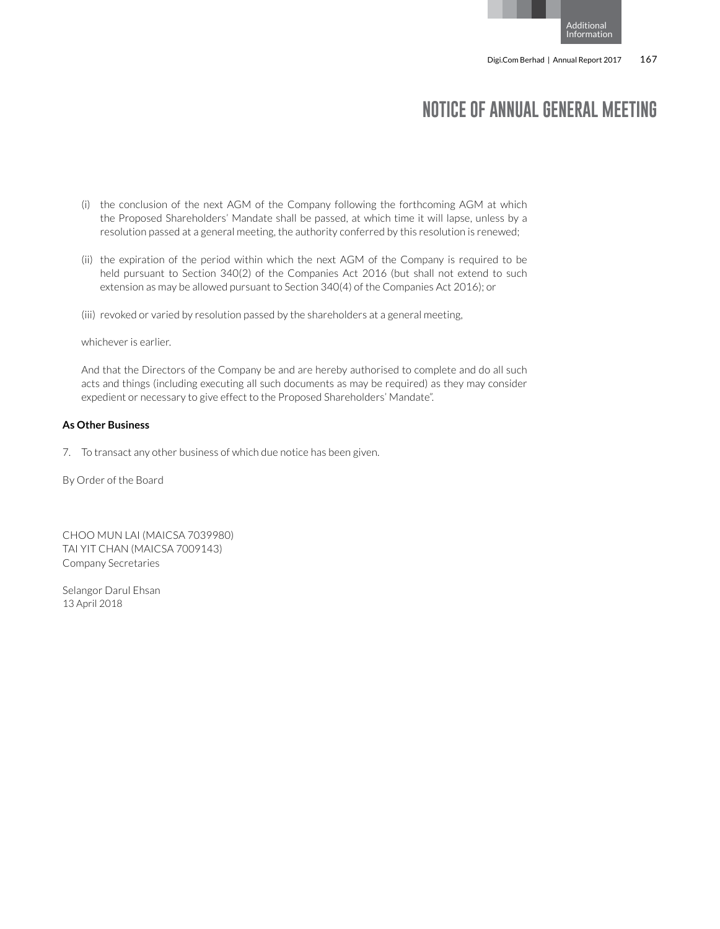## **NOTICE OF ANNUAL GENERAL MEETING**

- (i) the conclusion of the next AGM of the Company following the forthcoming AGM at which the Proposed Shareholders' Mandate shall be passed, at which time it will lapse, unless by a resolution passed at a general meeting, the authority conferred by this resolution is renewed;
- (ii) the expiration of the period within which the next AGM of the Company is required to be held pursuant to Section 340(2) of the Companies Act 2016 (but shall not extend to such extension as may be allowed pursuant to Section 340(4) of the Companies Act 2016); or
- (iii) revoked or varied by resolution passed by the shareholders at a general meeting,

#### whichever is earlier.

And that the Directors of the Company be and are hereby authorised to complete and do all such acts and things (including executing all such documents as may be required) as they may consider expedient or necessary to give effect to the Proposed Shareholders' Mandate".

#### **As Other Business**

7. To transact any other business of which due notice has been given.

By Order of the Board

CHOO MUN LAI (MAICSA 7039980) TAI YIT CHAN (MAICSA 7009143) Company Secretaries

Selangor Darul Ehsan 13 April 2018